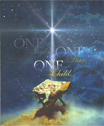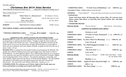# *Christmas Eve 2014 Joint Service*

*Liberty Pole UMC Worship Service-Sunday, 9:00 A.M. Viroqua UMC Worship Service-Sunday, 10:30 A.M.*

*Please turn off all cell phones and electronics. \*\*Please stand if you are able.*

| <b>PRELUDE</b>                                                 | "DOST THOU IN A MANGER LIE"   | BY: ROBERT J. POWELL     |  |  |
|----------------------------------------------------------------|-------------------------------|--------------------------|--|--|
|                                                                | "O HOLY NIGHT"                | ARR. BY: MATTHEW H. CARE |  |  |
| (A time to prepare for worship through prayer and meditation.) | BY: PAUL MOYZ                 |                          |  |  |
| <b>INTROIT</b>                                                 | "FOR UNTO US A CHILD IS BORN" | <b>VUMC CHOIR</b>        |  |  |
| WELCOMING WORDS, ANNOUNCEMENTS AND PRAYER                      |                               |                          |  |  |

| <b>**OPENING CHRISTMAS CAROL</b> | "O Come, All Ye Faithful" | <b>UMH NO. 234</b> |
|----------------------------------|---------------------------|--------------------|
| (VERSES 1, 3, 5)                 |                           |                    |

#### **Lighting of the advent candles and the Christ Candle**

**READER ONE:** For weeks we've been lighting more and more candles on this wreath in preparation to celebrate the birth of Jesus. Tonight we light the final candle, for Jesus, the Light of the World, has come. God has kept the prophetic promise: By the tender mercy of our God, the dawn from on high will break upon us, to give light to those who sit in darkness and in the shadow of death, to guide our feet into the way of peace. (Luke 1: 78-79)

**READER TWO:** A reading from the prophet Isaiah concerning Jesus the Messiah: The people who walked in darkness have seen a great light; those who lived in a land of deep darkness—on them light has shined. For a child has been born for us, a son given to us; authority rests upon his shoulders; and he is name Wonderful Counselor, Mighty God, Everlasting Father, Prince of Peace. His authority shall grow continually, and there shall be endless peace for the throne of David and his kingdom. He will establish and uphold it with justice and with righteousness from this time onward and forevermore. The zeal of the Lord of hosts will do this. (Isaiah 9:2, 6-7) **CONGREGATION: We welcome you O Christ, Light of the World, open our hearts and minds to worship you in spirit and in truth.**

LIGHT THE CANDLES OF HOPE, PEACE, JOY & LOVE, AND LIGHT TONIGHT WE ARE PLACING JESUS AS A<br>SIGN OF LIGHT—THE LIGHT OF THE WORLD (THE MULVANEY-KEMP FAMILY) sign of Light—THE LIGHT OF THE WORLD

\*\***CHRISTMAS CAROL "O Little Town of Bethlehem**" (all) **UMH No. 230 Children's Time—**children please come forward

## **OFFERING** *"Carol Medley"**Played By: Mallory Hanson and* Kathy Hanson **\*\*DOXOLOGY**

**Praise God from whom all blessings flow; praise Him, all creatures here below; praise Him above, ye heavenly host; praise Father, Son, and Holy Ghost.** *Amen.* 

#### **\*\* OFFERTORY PRAYER**

| <b>SPECIAL MUSIC</b> | "SILENT NIGHT" | RON OLSON - VIOLIN SOLO |
|----------------------|----------------|-------------------------|
|                      |                |                         |

#### **A SERVICE OF LESSONS AND CAROLS**

| <b>LESSON</b>          | GENESIS 22: 15-18                                                  |                       |
|------------------------|--------------------------------------------------------------------|-----------------------|
| <b>CHRISTMAS CAROL</b> | "O Come, O Come, Emmanuel" vs. 1&3 UMH No. 211                     |                       |
| <b>LESSON</b>          | $IAIAH$ 9: 1-7                                                     |                       |
|                        | CHRISTMAS CAROL "Lo, How a Rose E'er Blooming" vs. 1,2 UMH No. 216 |                       |
| <b>LESSON</b>          | LUKE 1:26-35, $38$                                                 |                       |
|                        | CHRISTMAS CAROL "To a Maid Engaged to Joseph" vs. 1,2              | <b>UMH NO. 215</b>    |
| <b>LESSON</b>          | LUKE $2:1-7$                                                       |                       |
| <b>CHRISTMAS CAROL</b> | "The First Noel" vs. 1,2                                           | <b>UMH No. 245</b>    |
| <b>LESSON</b>          | LUKE 2:8-16                                                        |                       |
| <b>SPECIAL MUSIC</b>   | "Away in a Manger" VUMC Choir; Ron Olson - Violin                  | Arr. By: Robert Field |
| <b>LESSON</b>          | Matthew $2:1-11$                                                   |                       |
| <b>CHRISTMAS CAROL</b> | <b>"Angels We Have Heard On High"</b> (all)                        | <b>UMH No. 238</b>    |
| <b>LESSON</b>          | $John 1: 1-14$                                                     |                       |
| <b>CHRISTMAS CAROL</b> | "We Three Kings" vs. 1,2,5                                         | <b>UMH No. 251</b>    |